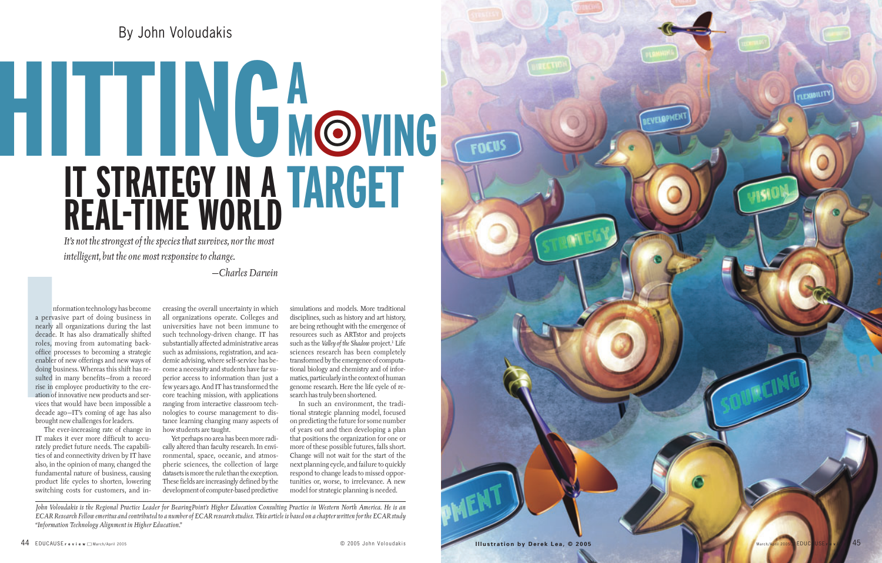## By John Voloudakis

FOCUS

mform<br>
a pervasive<br>
nearly all o<br>
decade. It *I*<br>
roles, movi<br>
office proce<br>
enabler of n<br>
doing busin<br>
sulted in m<br>
rise in empl<br>
ation of inno<br>
vices that w<br>
decade ago-<br>
brought nev<br>
The ever nformation technology has become a pervasive part of doing business in nearly all organizations during the last decade. It has also dramatically shifted roles, moving from automating backoffice processes to becoming a strategic enabler of new offerings and new ways of doing business. Whereas this shift has resulted in many benefits—from a record rise in employee productivity to the creation of innovative new products and services that would have been impossible a decade ago—IT's coming of age has also brought new challenges for leaders.

The ever-increasing rate of change in IT makes it ever more difficult to accurately predict future needs. The capabilities of and connectivity driven by IT have also, in the opinion of many, changed the fundamental nature of business, causing product life cycles to shorten, lowering switching costs for customers, and increasing the overall uncertainty in which all organizations operate. Colleges and universities have not been immune to such technology-driven change. IT has substantially affected administrative areas such as admissions, registration, and academic advising, where self-service has become a necessity and students have far superior access to information than just a few years ago. And IT has transformed the core teaching mission, with applications ranging from interactive classroom technologies to course management to distance learning changing many aspects of how students are taught.

# **IT STRATEGY IN A REAL-TIME WORLD HITTINGA** O**VING MOVIN**<br>TARGET



Yet perhaps no area has been more radically altered than faculty research. In environmental, space, oceanic, and atmospheric sciences, the collection of large datasets is more the rule than the exception. These fields are increasingly defined by the development of computer-based predictive

simulations and models. More traditional disciplines, such as history and art history, are being rethought with the emergence of resources such as ARTstor and projects such as the *Valley of the Shadow* project. <sup>1</sup> Life sciences research has been completely transformed by the emergence of computational biology and chemistry and of informatics, particularly in the context of human genome research. Here the life cycle of research has truly been shortened.

In such an environment, the traditional strategic planning model, focused on predicting the future for some number of years out and then developing a plan that positions the organization for one or more of these possible futures, falls short. Change will not wait for the start of the next planning cycle, and failure to quickly respond to change leads to missed opportunities or, worse, to irrelevance. A new model for strategic planning is needed.

*John Voloudakis is the Regional Practice Leader for BearingPoint's Higher Education Consulting Practice in Western North America. He is an ECAR Research Fellow emeritus and contributed to a number of ECAR research studies. This article is based on a chapter written for the ECAR study "Information Technology Alignment in Higher Education."* 

*It's not the strongest of the species that survives, nor the most intelligent, but the one most responsive to change.*

—*Charles Darwin*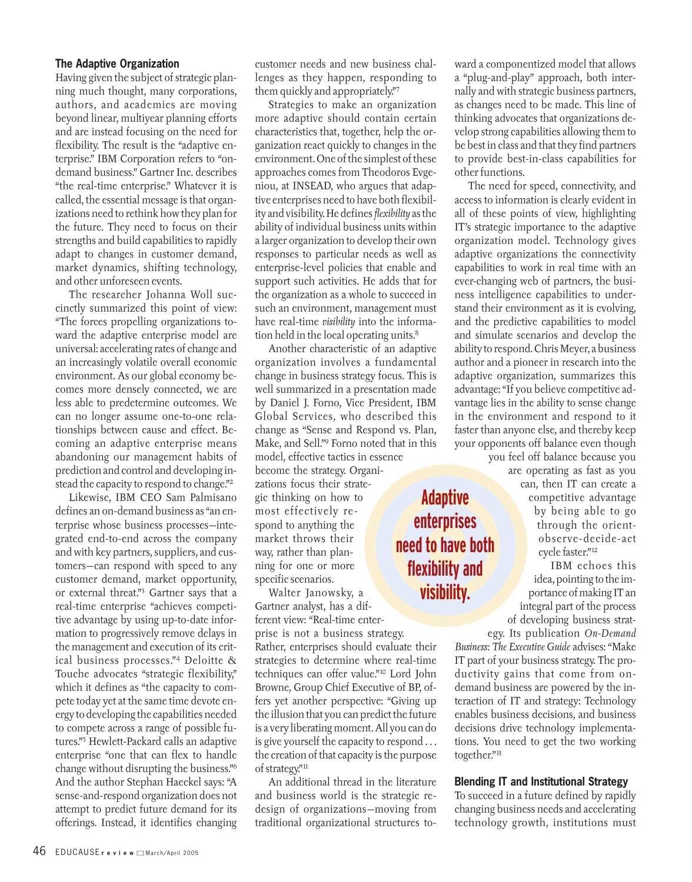#### **The Adaptive Organization**

Having given the subject of strategic planning much thought, many corporations, authors, and academics are moving beyond linear, multiyear planning efforts and are instead focusing on the need for flexibility. The result is the "adaptive enterprise." IBM Corporation refers to "ondemand business." Gartner Inc. describes "the real-time enterprise." Whatever it is called, the essential message is that organizations need to rethink how they plan for the future. They need to focus on their strengths and build capabilities to rapidly adapt to changes in customer demand, market dynamics, shifting technology, and other unforeseen events.

The researcher Johanna Woll succinctly summarized this point of view: "The forces propelling organizations toward the adaptive enterprise model are universal: accelerating rates of change and an increasingly volatile overall economic environment. As our global economy becomes more densely connected, we are less able to predetermine outcomes. We can no longer assume one-to-one relationships between cause and effect. Becoming an adaptive enterprise means abandoning our management habits of prediction and control and developing instead the capacity to respond to change."2

Likewise, IBM CEO Sam Palmisano defines an on-demand business as "an enterprise whose business processes—integrated end-to-end across the company and with key partners, suppliers, and customers—can respond with speed to any customer demand, market opportunity, or external threat."3 Gartner says that a real-time enterprise "achieves competitive advantage by using up-to-date information to progressively remove delays in the management and execution of its critical business processes."4 Deloitte & Touche advocates "strategic flexibility," which it defines as "the capacity to compete today yet at the same time devote energy to developing the capabilities needed to compete across a range of possible futures."5 Hewlett-Packard calls an adaptive enterprise "one that can flex to handle change without disrupting the business."6 And the author Stephan Haeckel says: "A sense-and-respond organization does not attempt to predict future demand for its offerings. Instead, it identifies changing

customer needs and new business challenges as they happen, responding to them quickly and appropriately."7

Strategies to make an organization more adaptive should contain certain characteristics that, together, help the organization react quickly to changes in the environment. One of the simplest of these approaches comes from Theodoros Evgeniou, at INSEAD, who argues that adaptive enterprises need to have both flexibility and visibility. He defines *flexibility* as the ability of individual business units within a larger organization to develop their own responses to particular needs as well as enterprise-level policies that enable and support such activities. He adds that for the organization as a whole to succeed in such an environment, management must have real-time *visibility* into the information held in the local operating units.<sup>8</sup>

Another characteristic of an adaptive organization involves a fundamental change in business strategy focus. This is well summarized in a presentation made by Daniel J. Forno, Vice President, IBM Global Services, who described this change as "Sense and Respond vs. Plan, Make, and Sell."9 Forno noted that in this model, effective tactics in essence

become the strategy. Organizations focus their strategic thinking on how to most effectively respond to anything the market throws their way, rather than planning for one or more specific scenarios.

Walter Janowsky, a Gartner analyst, has a different view: "Real-time enterprise is not a business strategy. Rather, enterprises should evaluate their strategies to determine where real-time techniques can offer value."10 Lord John Browne, Group Chief Executive of BP, offers yet another perspective: "Giving up the illusion that you can predict the future is a very liberating moment. All you can do is give yourself the capacity to respond . . . the creation of that capacity is the purpose of strategy."<sup>11</sup>

An additional thread in the literature and business world is the strategic redesign of organizations—moving from traditional organizational structures toward a componentized model that allows a "plug-and-play" approach, both internally and with strategic business partners, as changes need to be made. This line of thinking advocates that organizations develop strong capabilities allowing them to be best in class and that they find partners to provide best-in-class capabilities for other functions.

The need for speed, connectivity, and access to information is clearly evident in all of these points of view, highlighting IT's strategic importance to the adaptive organization model. Technology gives adaptive organizations the connectivity capabilities to work in real time with an ever-changing web of partners, the business intelligence capabilities to understand their environment as it is evolving, and the predictive capabilities to model and simulate scenarios and develop the ability to respond. Chris Meyer, a business author and a pioneer in research into the adaptive organization, summarizes this advantage: "If you believe competitive advantage lies in the ability to sense change in the environment and respond to it faster than anyone else, and thereby keep your opponents off balance even though you feel off balance because you

are operating as fast as you

can, then IT can create a competitive advantage by being able to go through the orientobserve-decide-act cycle faster."12

IBM echoes this idea, pointing to the importance of making IT an integral part of the process of developing business strategy. Its publication *On-Demand*

*Business: The Executive Guide* advises: "Make IT part of your business strategy. The productivity gains that come from ondemand business are powered by the interaction of IT and strategy: Technology enables business decisions, and business decisions drive technology implementations. You need to get the two working together."13

#### **Blending IT and Institutional Strategy**

To succeed in a future defined by rapidly changing business needs and accelerating technology growth, institutions must

### **Adaptive enterprises need to have both flexibility and visibility.**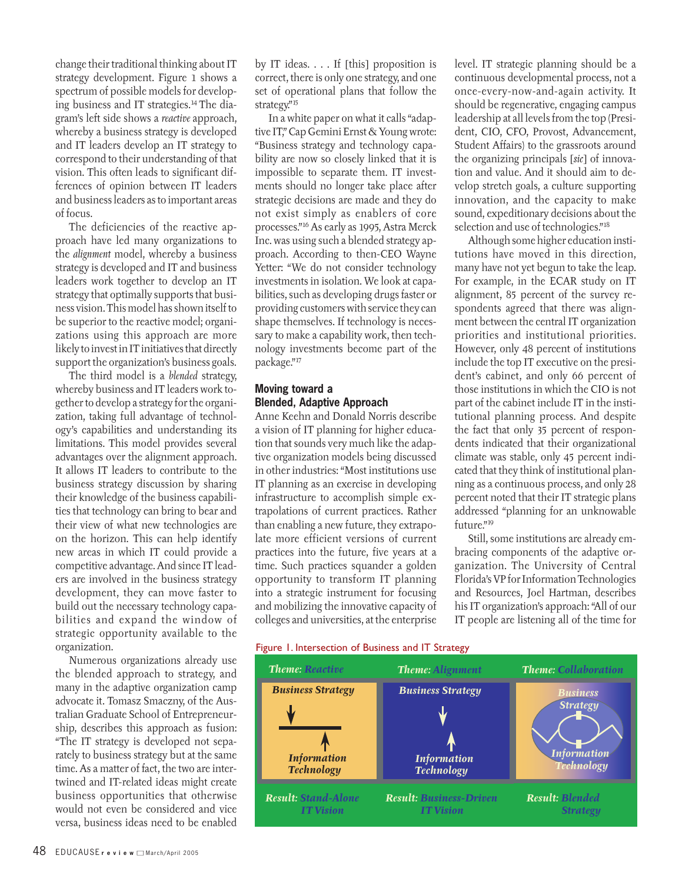change their traditional thinking about IT strategy development. Figure 1 shows a spectrum of possible models for developing business and IT strategies.<sup>14</sup> The diagram's left side shows a *reactive* approach, whereby a business strategy is developed and IT leaders develop an IT strategy to correspond to their understanding of that vision. This often leads to significant differences of opinion between IT leaders and business leaders as to important areas of focus.

The deficiencies of the reactive approach have led many organizations to the *alignment* model, whereby a business strategy is developed and IT and business leaders work together to develop an IT strategy that optimally supports that business vision. This model has shown itself to be superior to the reactive model; organizations using this approach are more likely to invest in IT initiatives that directly support the organization's business goals.

The third model is a *blended* strategy, whereby business and IT leaders work together to develop a strategy for the organization, taking full advantage of technology's capabilities and understanding its limitations. This model provides several advantages over the alignment approach. It allows IT leaders to contribute to the business strategy discussion by sharing their knowledge of the business capabilities that technology can bring to bear and their view of what new technologies are on the horizon. This can help identify new areas in which IT could provide a competitive advantage. And since IT leaders are involved in the business strategy development, they can move faster to build out the necessary technology capabilities and expand the window of strategic opportunity available to the organization.

Numerous organizations already use the blended approach to strategy, and many in the adaptive organization camp advocate it. Tomasz Smaczny, of the Australian Graduate School of Entrepreneurship, describes this approach as fusion: "The IT strategy is developed not separately to business strategy but at the same time. As a matter of fact, the two are intertwined and IT-related ideas might create business opportunities that otherwise would not even be considered and vice versa, business ideas need to be enabled

by IT ideas. . . . If [this] proposition is correct, there is only one strategy, and one set of operational plans that follow the strategy."15

In a white paper on what it calls "adaptive IT," Cap Gemini Ernst & Young wrote: "Business strategy and technology capability are now so closely linked that it is impossible to separate them. IT investments should no longer take place after strategic decisions are made and they do not exist simply as enablers of core processes."16 As early as 1995, Astra Merck Inc. was using such a blended strategy approach. According to then-CEO Wayne Yetter: "We do not consider technology investments in isolation. We look at capabilities, such as developing drugs faster or providing customers with service they can shape themselves. If technology is necessary to make a capability work, then technology investments become part of the package."17

#### **Moving toward a Blended, Adaptive Approach**

Anne Keehn and Donald Norris describe a vision of IT planning for higher education that sounds very much like the adaptive organization models being discussed in other industries: "Most institutions use IT planning as an exercise in developing infrastructure to accomplish simple extrapolations of current practices. Rather than enabling a new future, they extrapolate more efficient versions of current practices into the future, five years at a time. Such practices squander a golden opportunity to transform IT planning into a strategic instrument for focusing and mobilizing the innovative capacity of colleges and universities, at the enterprise

#### Figure 1. Intersection of Business and IT Strategy



level. IT strategic planning should be a continuous developmental process, not a once-every-now-and-again activity. It should be regenerative, engaging campus leadership at all levels from the top (President, CIO, CFO, Provost, Advancement, Student Affairs) to the grassroots around the organizing principals [*sic*] of innovation and value. And it should aim to develop stretch goals, a culture supporting innovation, and the capacity to make sound, expeditionary decisions about the selection and use of technologies."18

Although some higher education institutions have moved in this direction, many have not yet begun to take the leap. For example, in the ECAR study on IT alignment, 85 percent of the survey respondents agreed that there was alignment between the central IT organization priorities and institutional priorities. However, only 48 percent of institutions include the top IT executive on the president's cabinet, and only 66 percent of those institutions in which the CIO is not part of the cabinet include IT in the institutional planning process. And despite the fact that only 35 percent of respondents indicated that their organizational climate was stable, only 45 percent indicated that they think of institutional planning as a continuous process, and only 28 percent noted that their IT strategic plans addressed "planning for an unknowable future."<sup>19</sup>

Still, some institutions are already embracing components of the adaptive organization. The University of Central Florida's VP for Information Technologies and Resources, Joel Hartman, describes his IT organization's approach: "All of our IT people are listening all of the time for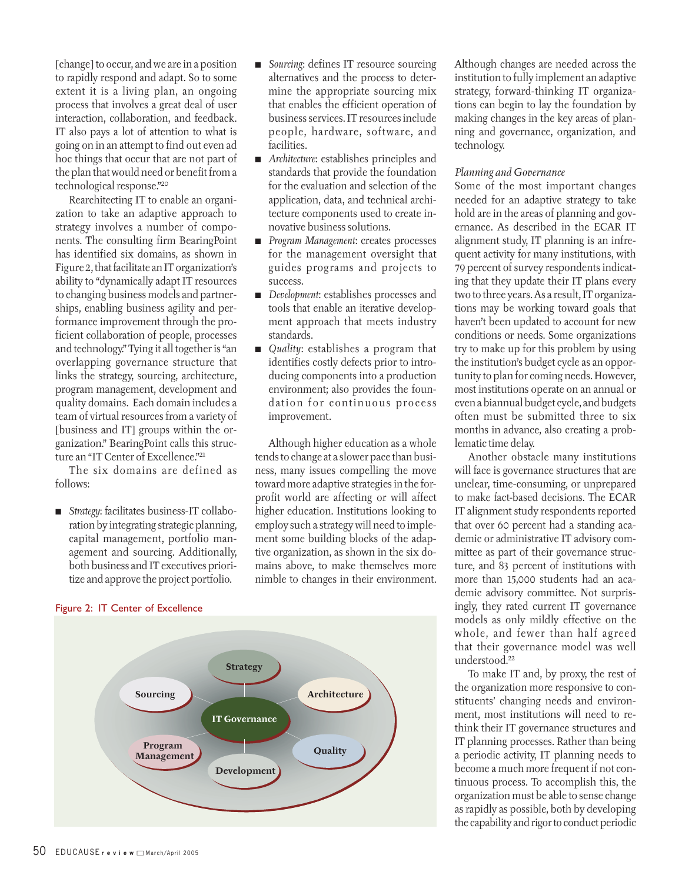[change] to occur, and we are in a position to rapidly respond and adapt. So to some extent it is a living plan, an ongoing process that involves a great deal of user interaction, collaboration, and feedback. IT also pays a lot of attention to what is going on in an attempt to find out even ad hoc things that occur that are not part of the plan that would need or benefit from a technological response."20

Rearchitecting IT to enable an organization to take an adaptive approach to strategy involves a number of components. The consulting firm BearingPoint has identified six domains, as shown in Figure 2, that facilitate an IT organization's ability to "dynamically adapt IT resources to changing business models and partnerships, enabling business agility and performance improvement through the proficient collaboration of people, processes and technology." Tying it all together is "an overlapping governance structure that links the strategy, sourcing, architecture, program management, development and quality domains. Each domain includes a team of virtual resources from a variety of [business and IT] groups within the organization." BearingPoint calls this structure an "IT Center of Excellence."<sup>21</sup>

The six domains are defined as follows:

■ *Strategy*: facilitates business-IT collaboration by integrating strategic planning, capital management, portfolio management and sourcing. Additionally, both business and IT executives prioritize and approve the project portfolio.

- *Sourcing*: defines IT resource sourcing alternatives and the process to determine the appropriate sourcing mix that enables the efficient operation of business services. IT resources include people, hardware, software, and facilities.
- *Architecture*: establishes principles and standards that provide the foundation for the evaluation and selection of the application, data, and technical architecture components used to create innovative business solutions.
- *Program Management*: creates processes for the management oversight that guides programs and projects to success.
- *Development*: establishes processes and tools that enable an iterative development approach that meets industry standards.
- *Quality:* establishes a program that identifies costly defects prior to introducing components into a production environment; also provides the foundation for continuous process improvement.

Although higher education as a whole tends to change at a slower pace than business, many issues compelling the move toward more adaptive strategies in the forprofit world are affecting or will affect higher education. Institutions looking to employ such a strategy will need to implement some building blocks of the adaptive organization, as shown in the six domains above, to make themselves more nimble to changes in their environment. Although changes are needed across the institution to fully implement an adaptive strategy, forward-thinking IT organizations can begin to lay the foundation by making changes in the key areas of planning and governance, organization, and technology.

#### *Planning and Governance*

Some of the most important changes needed for an adaptive strategy to take hold are in the areas of planning and governance. As described in the ECAR IT alignment study, IT planning is an infrequent activity for many institutions, with 79 percent of survey respondents indicating that they update their IT plans every two to three years. As a result, IT organizations may be working toward goals that haven't been updated to account for new conditions or needs. Some organizations try to make up for this problem by using the institution's budget cycle as an opportunity to plan for coming needs. However, most institutions operate on an annual or even a biannual budget cycle, and budgets often must be submitted three to six months in advance, also creating a problematic time delay.

Another obstacle many institutions will face is governance structures that are unclear, time-consuming, or unprepared to make fact-based decisions. The ECAR IT alignment study respondents reported that over 60 percent had a standing academic or administrative IT advisory committee as part of their governance structure, and 83 percent of institutions with more than 15,000 students had an academic advisory committee. Not surprisingly, they rated current IT governance models as only mildly effective on the whole, and fewer than half agreed that their governance model was well understood.22

To make IT and, by proxy, the rest of the organization more responsive to constituents' changing needs and environment, most institutions will need to rethink their IT governance structures and IT planning processes. Rather than being a periodic activity, IT planning needs to become a much more frequent if not continuous process. To accomplish this, the organization must be able to sense change as rapidly as possible, both by developing the capability and rigor to conduct periodic



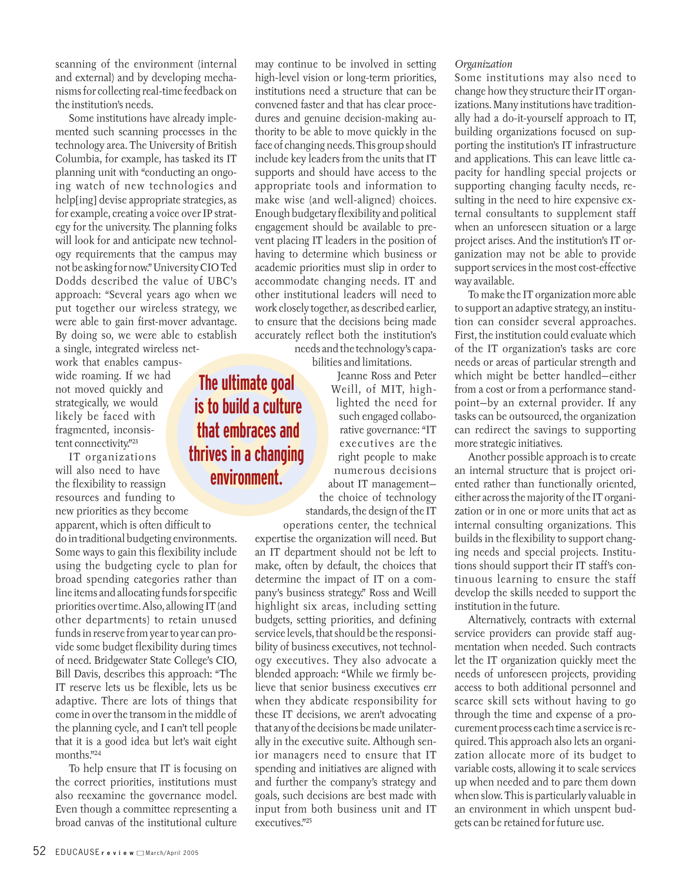scanning of the environment (internal and external) and by developing mechanisms for collecting real-time feedback on the institution's needs.

Some institutions have already implemented such scanning processes in the technology area. The University of British Columbia, for example, has tasked its IT planning unit with "conducting an ongoing watch of new technologies and help[ing] devise appropriate strategies, as for example, creating a voice over IP strategy for the university. The planning folks will look for and anticipate new technology requirements that the campus may not be asking for now." University CIO Ted Dodds described the value of UBC's approach: "Several years ago when we put together our wireless strategy, we were able to gain first-mover advantage. By doing so, we were able to establish

a single, integrated wireless network that enables campuswide roaming. If we had not moved quickly and strategically, we would likely be faced with fragmented, inconsistent connectivity."<sup>23</sup>

IT organizations will also need to have the flexibility to reassign resources and funding to new priorities as they become **thrives in a changing**

apparent, which is often difficult to do in traditional budgeting environments. Some ways to gain this flexibility include using the budgeting cycle to plan for broad spending categories rather than line items and allocating funds for specific priorities over time. Also, allowing IT (and other departments) to retain unused funds in reserve from year to year can provide some budget flexibility during times of need. Bridgewater State College's CIO, Bill Davis, describes this approach: "The IT reserve lets us be flexible, lets us be adaptive. There are lots of things that come in over the transom in the middle of the planning cycle, and I can't tell people that it is a good idea but let's wait eight months."24

To help ensure that IT is focusing on the correct priorities, institutions must also reexamine the governance model. Even though a committee representing a broad canvas of the institutional culture

may continue to be involved in setting high-level vision or long-term priorities, institutions need a structure that can be convened faster and that has clear procedures and genuine decision-making authority to be able to move quickly in the face of changing needs. This group should include key leaders from the units that IT supports and should have access to the appropriate tools and information to make wise (and well-aligned) choices. Enough budgetary flexibility and political engagement should be available to prevent placing IT leaders in the position of having to determine which business or academic priorities must slip in order to accommodate changing needs. IT and other institutional leaders will need to work closely together, as described earlier, to ensure that the decisions being made accurately reflect both the institution's needs and the technology's capa-

bilities and limitations.

**The ultimate goal**

**is to build a culture**

**that embraces and** 

**environment.**

Jeanne Ross and Peter Weill, of MIT, highlighted the need for such engaged collaborative governance: "IT executives are the right people to make numerous decisions about IT management the choice of technology standards, the design of the IT

operations center, the technical expertise the organization will need. But an IT department should not be left to make, often by default, the choices that determine the impact of IT on a company's business strategy." Ross and Weill highlight six areas, including setting budgets, setting priorities, and defining service levels, that should be the responsibility of business executives, not technology executives. They also advocate a blended approach: "While we firmly believe that senior business executives err when they abdicate responsibility for these IT decisions, we aren't advocating that any of the decisions be made unilaterally in the executive suite. Although senior managers need to ensure that IT spending and initiatives are aligned with and further the company's strategy and goals, such decisions are best made with input from both business unit and IT executives."25

#### *Organization*

Some institutions may also need to change how they structure their IT organizations. Many institutions have traditionally had a do-it-yourself approach to IT, building organizations focused on supporting the institution's IT infrastructure and applications. This can leave little capacity for handling special projects or supporting changing faculty needs, resulting in the need to hire expensive external consultants to supplement staff when an unforeseen situation or a large project arises. And the institution's IT organization may not be able to provide support services in the most cost-effective way available.

To make the IT organization more able to support an adaptive strategy, an institution can consider several approaches. First, the institution could evaluate which of the IT organization's tasks are core needs or areas of particular strength and which might be better handled—either from a cost or from a performance standpoint—by an external provider. If any tasks can be outsourced, the organization can redirect the savings to supporting more strategic initiatives.

Another possible approach is to create an internal structure that is project oriented rather than functionally oriented, either across the majority of the IT organization or in one or more units that act as internal consulting organizations. This builds in the flexibility to support changing needs and special projects. Institutions should support their IT staff's continuous learning to ensure the staff develop the skills needed to support the institution in the future.

Alternatively, contracts with external service providers can provide staff augmentation when needed. Such contracts let the IT organization quickly meet the needs of unforeseen projects, providing access to both additional personnel and scarce skill sets without having to go through the time and expense of a procurement process each time a service is required. This approach also lets an organization allocate more of its budget to variable costs, allowing it to scale services up when needed and to pare them down when slow. This is particularly valuable in an environment in which unspent budgets can be retained for future use.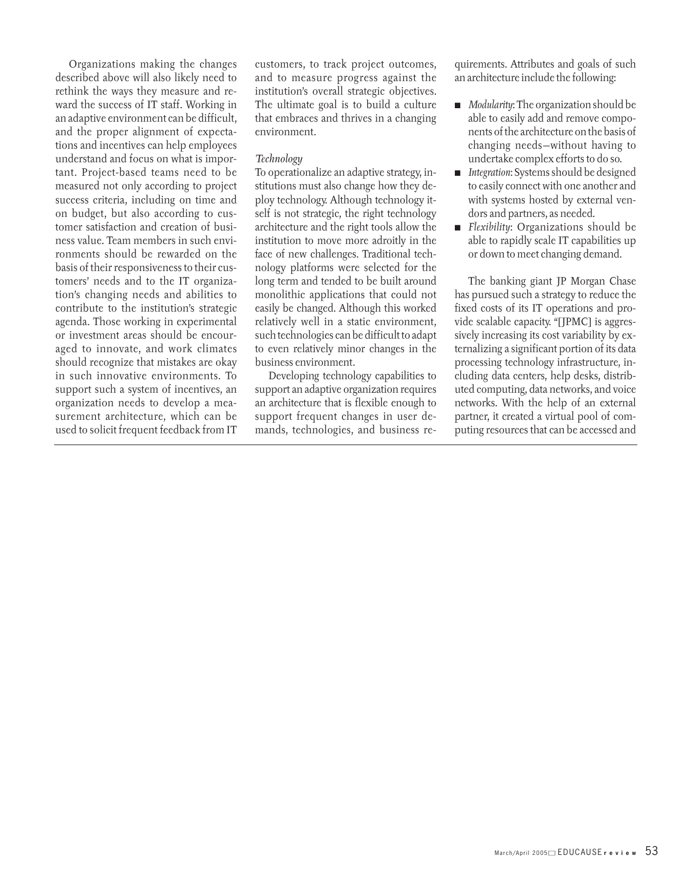Organizations making the changes described above will also likely need to rethink the ways they measure and reward the success of IT staff. Working in an adaptive environment can be difficult, and the proper alignment of expectations and incentives can help employees understand and focus on what is important. Project-based teams need to be measured not only according to project success criteria, including on time and on budget, but also according to customer satisfaction and creation of business value. Team members in such environments should be rewarded on the basis of their responsiveness to their customers' needs and to the IT organization's changing needs and abilities to contribute to the institution's strategic agenda. Those working in experimental or investment areas should be encouraged to innovate, and work climates should recognize that mistakes are okay in such innovative environments. To support such a system of incentives, an organization needs to develop a measurement architecture, which can be used to solicit frequent feedback from IT

customers, to track project outcomes, and to measure progress against the institution's overall strategic objectives. The ultimate goal is to build a culture that embraces and thrives in a changing environment.

#### *Technology*

To operationalize an adaptive strategy, institutions must also change how they deploy technology. Although technology itself is not strategic, the right technology architecture and the right tools allow the institution to move more adroitly in the face of new challenges. Traditional technology platforms were selected for the long term and tended to be built around monolithic applications that could not easily be changed. Although this worked relatively well in a static environment, such technologies can be difficult to adapt to even relatively minor changes in the business environment.

Developing technology capabilities to support an adaptive organization requires an architecture that is flexible enough to support frequent changes in user demands, technologies, and business requirements. Attributes and goals of such an architecture include the following:

- *Modularity:* The organization should be able to easily add and remove components of the architecture on the basis of changing needs—without having to undertake complex efforts to do so.
- *Integration*: Systems should be designed to easily connect with one another and with systems hosted by external vendors and partners, as needed.
- *Flexibility*: Organizations should be able to rapidly scale IT capabilities up or down to meet changing demand.

The banking giant JP Morgan Chase has pursued such a strategy to reduce the fixed costs of its IT operations and provide scalable capacity. "[JPMC] is aggressively increasing its cost variability by externalizing a significant portion of its data processing technology infrastructure, including data centers, help desks, distributed computing, data networks, and voice networks. With the help of an external partner, it created a virtual pool of computing resources that can be accessed and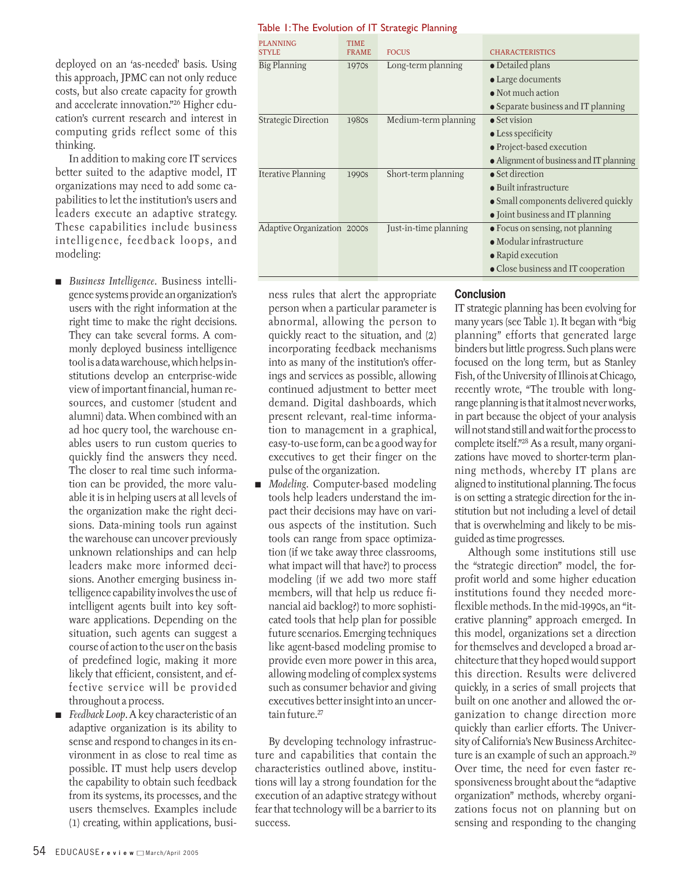deployed on an 'as-needed' basis. Using this approach, JPMC can not only reduce costs, but also create capacity for growth and accelerate innovation."26 Higher education's current research and interest in computing grids reflect some of this thinking.

In addition to making core IT services better suited to the adaptive model, IT organizations may need to add some capabilities to let the institution's users and leaders execute an adaptive strategy. These capabilities include business intelligence, feedback loops, and modeling:

- *Business Intelligence*. Business intelligence systems provide an organization's users with the right information at the right time to make the right decisions. They can take several forms. A commonly deployed business intelligence tool is a data warehouse, which helps institutions develop an enterprise-wide view of important financial, human resources, and customer (student and alumni) data. When combined with an ad hoc query tool, the warehouse enables users to run custom queries to quickly find the answers they need. The closer to real time such information can be provided, the more valuable it is in helping users at all levels of the organization make the right decisions. Data-mining tools run against the warehouse can uncover previously unknown relationships and can help leaders make more informed decisions. Another emerging business intelligence capability involves the use of intelligent agents built into key software applications. Depending on the situation, such agents can suggest a course of action to the user on the basis of predefined logic, making it more likely that efficient, consistent, and effective service will be provided throughout a process.
- *Feedback Loop*. A key characteristic of an adaptive organization is its ability to sense and respond to changes in its environment in as close to real time as possible. IT must help users develop the capability to obtain such feedback from its systems, its processes, and the users themselves. Examples include (1) creating, within applications, busi-

#### Table 1:The Evolution of IT Strategic Planning

| <b>PLANNING</b>             | <b>TIME</b>  |                       |                                         |
|-----------------------------|--------------|-----------------------|-----------------------------------------|
| <b>STYLE</b>                | <b>FRAME</b> | <b>FOCUS</b>          | <b>CHARACTERISTICS</b>                  |
| Big Planning                | 1970s        | Long-term planning    | $\bullet$ Detailed plans                |
|                             |              |                       | • Large documents                       |
|                             |              |                       | $\bullet$ Not much action               |
|                             |              |                       | • Separate business and IT planning     |
| <b>Strategic Direction</b>  | 1980s        | Medium-term planning  | $\bullet$ Set vision                    |
|                             |              |                       | $\bullet$ Less specificity              |
|                             |              |                       | • Project-based execution               |
|                             |              |                       | • Alignment of business and IT planning |
| <b>Iterative Planning</b>   | 1990s        | Short-term planning   | $\bullet$ Set direction                 |
|                             |              |                       | $\bullet$ Built infrastructure          |
|                             |              |                       | · Small components delivered quickly    |
|                             |              |                       | • Joint business and IT planning        |
| Adaptive Organization 2000s |              | Just-in-time planning | • Focus on sensing, not planning        |
|                             |              |                       | $\bullet$ Modular infrastructure        |
|                             |              |                       | • Rapid execution                       |
|                             |              |                       | • Close business and IT cooperation     |

ness rules that alert the appropriate person when a particular parameter is abnormal, allowing the person to quickly react to the situation, and (2) incorporating feedback mechanisms into as many of the institution's offerings and services as possible, allowing continued adjustment to better meet demand. Digital dashboards, which present relevant, real-time information to management in a graphical, easy-to-use form, can be a good way for executives to get their finger on the pulse of the organization.

*Modeling.* Computer-based modeling tools help leaders understand the impact their decisions may have on various aspects of the institution. Such tools can range from space optimization (if we take away three classrooms, what impact will that have?) to process modeling (if we add two more staff members, will that help us reduce financial aid backlog?) to more sophisticated tools that help plan for possible future scenarios. Emerging techniques like agent-based modeling promise to provide even more power in this area, allowing modeling of complex systems such as consumer behavior and giving executives better insight into an uncertain future.<sup>27</sup>

By developing technology infrastructure and capabilities that contain the characteristics outlined above, institutions will lay a strong foundation for the execution of an adaptive strategy without fear that technology will be a barrier to its success.

#### **Conclusion**

IT strategic planning has been evolving for many years (see Table 1). It began with "big planning" efforts that generated large binders but little progress. Such plans were focused on the long term, but as Stanley Fish, of the University of Illinois at Chicago, recently wrote, "The trouble with longrange planning is that it almost never works, in part because the object of your analysis will not stand still and wait for the process to complete itself."28 As a result, many organizations have moved to shorter-term planning methods, whereby IT plans are aligned to institutional planning. The focus is on setting a strategic direction for the institution but not including a level of detail that is overwhelming and likely to be misguided as time progresses.

Although some institutions still use the "strategic direction" model, the forprofit world and some higher education institutions found they needed moreflexible methods. In the mid-1990s, an "iterative planning" approach emerged. In this model, organizations set a direction for themselves and developed a broad architecture that they hoped would support this direction. Results were delivered quickly, in a series of small projects that built on one another and allowed the organization to change direction more quickly than earlier efforts. The University of California's New Business Architecture is an example of such an approach.29 Over time, the need for even faster responsiveness brought about the "adaptive organization" methods, whereby organizations focus not on planning but on sensing and responding to the changing